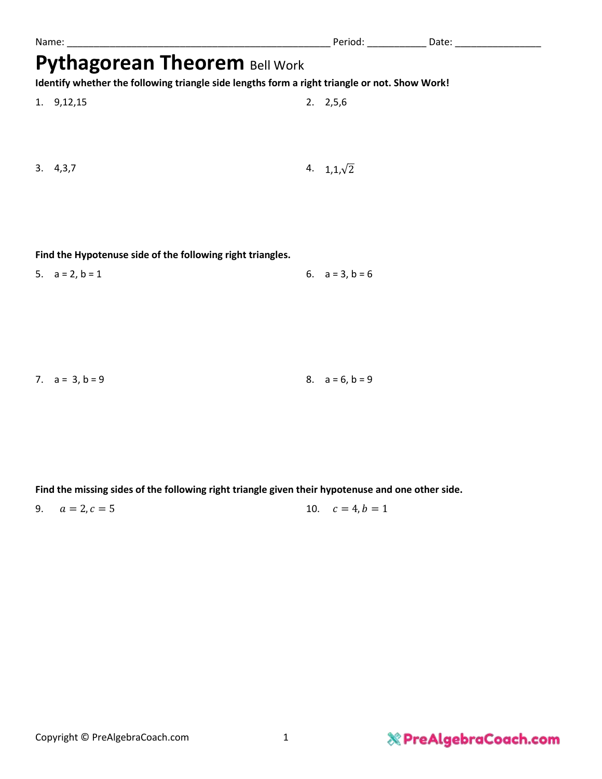|                                                                                               | Name:     |  | Period:           | Date: |  |
|-----------------------------------------------------------------------------------------------|-----------|--|-------------------|-------|--|
| <b>Pythagorean Theorem Bell Work</b>                                                          |           |  |                   |       |  |
| Identify whether the following triangle side lengths form a right triangle or not. Show Work! |           |  |                   |       |  |
|                                                                                               | 1.9,12,15 |  | $2. \quad 2,5,6$  |       |  |
|                                                                                               | 3.4,3,7   |  | 4. $1,1,\sqrt{2}$ |       |  |
|                                                                                               |           |  |                   |       |  |

**Find the Hypotenuse side of the following right triangles.**

| 5. $a = 2, b = 1$ | 6. $a = 3, b = 6$ |
|-------------------|-------------------|
|                   |                   |

| 7. $a = 3, b = 9$ |  | 8. $a = 6, b = 9$ |
|-------------------|--|-------------------|
|-------------------|--|-------------------|

**Find the missing sides of the following right triangle given their hypotenuse and one other side.**

9.  $a = 2, c = 5$  10.  $c = 4, b = 1$